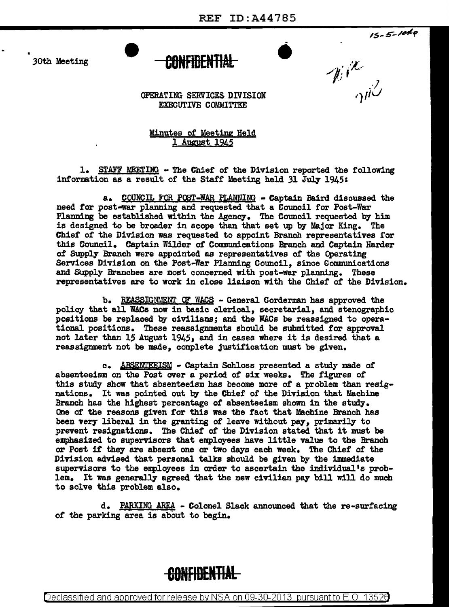$\bullet$ 

30th Meeting

 $15 - 5 - 1040$ 



 $\mathscr{W}^{\chi}_{\gamma\beta}$ 

OPERATING SERVICES DIVISION EXECUTIVE COMMITTEE

Minutes of Meeting Held 1 August 1945

1. STAFF MEETING - The Chief of the Division reported the following information as a result of the Staff Meeting held 31 July 1945:

a. COUNCll. F'OR POST-WAR PLANNING • Captain Baird discussed the need for post-war planning and requested that a Council for Post-War Planning be established within the Agency. The Council requested by him is designed to be broader in scope than that set up by Major King. The Chief of the Division was requested to appoint Branch representatives for this Council. Captain Wilder of Communications Branch and Captain Harder of Supply Branch were appointed as representatives of the Operating Services Division on the Post-War Planning Council, since Gommunications and Supply Branches are most concerned with post-war planning. These representatives are to work in close liaison with the Chief of the Division.

b. REASSIGNENT OF WACS - General Corderman has approved the policy that all WACs now in basic clerical, secretarial, and stenographic positions be replaced by civilians; and the WACs be reassigned to operational positions. These reassignments should be submitted for approval not later than 15 August 1945, and in cases where it is desired that a reassignment not be made, complete justification must be given.

c. ABSENTEEISM - Captain Schloss presented a study made of absenteeism on the Post over a period of six weeks. The figures of this study show that absenteeism has become more of a problem than resignations. It was pointed out by the Chief of the Division that Machine Branch bas the highest percentage *ot* absenteeism shown in the study. One of the reasons given tor this was the fact that Machine Branch has been very liberal in the granting *ot* leave without pay, primarily to prevent resignations. The Chief of the Division stated that it must be emphasized to supervisors that employees have little value to the Branch or Post it they are absent one or two days each week. The Chief *ot* the Division advised that personal talks should be given by the immediate supervisors to the employees in order to ascertain the individual's problem. It was generally agreed that the new civilian pay bill will do much to solve this problem also.

d. PARKING AREA - Colonel Slack announced that the re-surfacing of the parking area is about to begin.



Declassified and approved for release by NSA on 09-30-2013 pursuant to E.O. 1352d